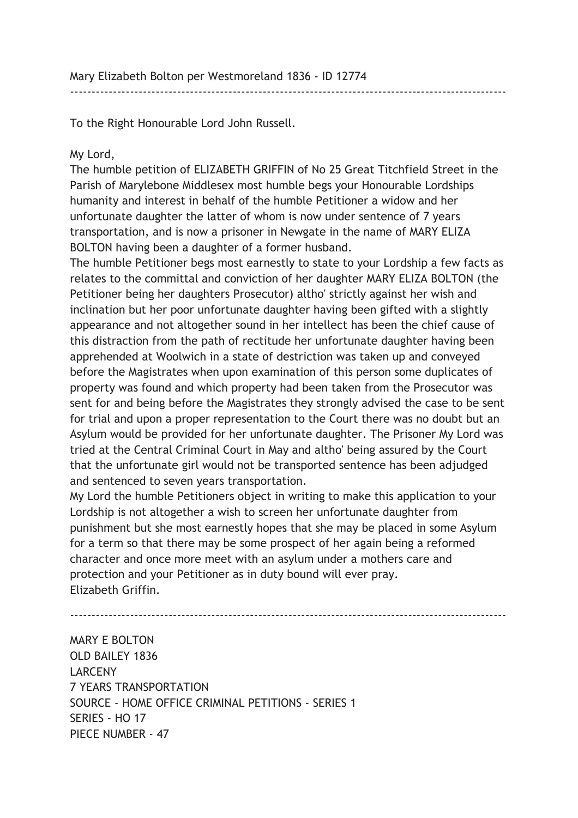To the Right Honourable Lord John Russell.

## My Lord,

The humble petition of ELIZABETH GRIFFIN of No 25 Great Titchfield Street in the Parish of Marylebone Middlesex most humble begs your Honourable Lordships humanity and interest in behalf of the humble Petitioner a widow and her unfortunate daughter the latter of whom is now under sentence of 7 years transportation, and is now a prisoner in Newgate in the name of MARY ELIZA BOLTON having been a daughter of a former husband.

------------------------------------------------------------------------------------------------------

The humble Petitioner begs most earnestly to state to your Lordship a few facts as relates to the committal and conviction of her daughter MARY ELIZA BOLTON (the Petitioner being her daughters Prosecutor) altho' strictly against her wish and inclination but her poor unfortunate daughter having been gifted with a slightly appearance and not altogether sound in her intellect has been the chief cause of this distraction from the path of rectitude her unfortunate daughter having been apprehended at Woolwich in a state of destriction was taken up and conveyed before the Magistrates when upon examination of this person some duplicates of property was found and which property had been taken from the Prosecutor was sent for and being before the Magistrates they strongly advised the case to be sent for trial and upon a proper representation to the Court there was no doubt but an Asylum would be provided for her unfortunate daughter. The Prisoner My Lord was tried at the Central Criminal Court in May and altho' being assured by the Court that the unfortunate girl would not be transported sentence has been adjudged and sentenced to seven years transportation.

My Lord the humble Petitioners object in writing to make this application to your Lordship is not altogether a wish to screen her unfortunate daughter from punishment but she most earnestly hopes that she may be placed in some Asylum for a term so that there may be some prospect of her again being a reformed character and once more meet with an asylum under a mothers care and protection and your Petitioner as in duty bound will ever pray. Elizabeth Griffin.

------------------------------------------------------------------------------------------------------ MARY E BOLTON OLD BAILEY 1836 LARCENY 7 YEARS TRANSPORTATION SOURCE - HOME OFFICE CRIMINAL PETITIONS - SERIES 1 SERIES - HO 17 PIECE NUMBER - 47